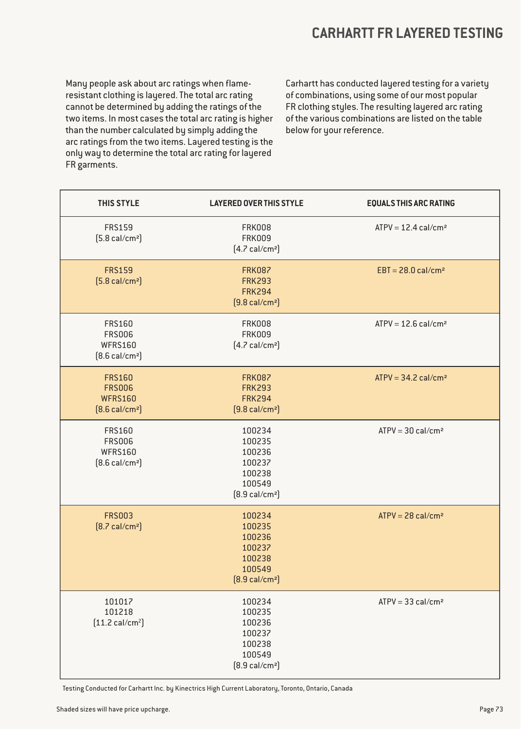#### **CARHARTT FR LAYERED TESTING**

Many people ask about arc ratings when flameresistant clothing is layered. The total arc rating cannot be determined by adding the ratings of the two items. In most cases the total arc rating is higher than the number calculated by simply adding the arc ratings from the two items. Layered testing is the only way to determine the total arc rating for layered FR garments.

Carhartt has conducted layered testing for a variety of combinations, using some of our most popular FR clothing styles. The resulting layered arc rating of the various combinations are listed on the table below for your reference.

| THIS STYLE                                                                   | <b>LAYERED OVER THIS STYLE</b>                                                       | <b>EQUALS THIS ARC RATING</b>     |
|------------------------------------------------------------------------------|--------------------------------------------------------------------------------------|-----------------------------------|
| <b>FRS159</b><br>$[5.8 \text{ cal/cm}^2]$                                    | <b>FRK008</b><br><b>FRK009</b><br>$[4.7 \text{ cal/cm}^2]$                           | $ATPV = 12.4$ cal/cm <sup>2</sup> |
| <b>FRS159</b><br>$[5.8 \text{ cal/cm}^2]$                                    | <b>FRK087</b><br><b>FRK293</b><br><b>FRK294</b><br>$[9.8 \text{ cal/cm}^2]$          | $EBT = 28.0$ cal/cm <sup>2</sup>  |
| <b>FRS160</b><br><b>FRS006</b><br><b>WFRS160</b><br>$[8.6 \text{ cal/cm}^2]$ | <b>FRK008</b><br><b>FRK009</b><br>$[4.7 \text{ cal/cm}^2]$                           | $ATPV = 12.6$ cal/cm <sup>2</sup> |
| <b>FRS160</b><br><b>FRS006</b><br><b>WFRS160</b><br>$[8.6 \text{ cal/cm}^2]$ | <b>FRK087</b><br><b>FRK293</b><br><b>FRK294</b><br>$[9.8 \text{ cal/cm}^2]$          | $ATPV = 34.2$ cal/cm <sup>2</sup> |
| FRS160<br><b>FRS006</b><br>WFRS160<br>$[8.6 \text{ cal/cm}^2]$               | 100234<br>100235<br>100236<br>100237<br>100238<br>100549<br>$[8.9 \text{ cal/cm}^2]$ | $ATPV = 30$ cal/cm <sup>2</sup>   |
| <b>FRS003</b><br>$[8.7 \text{ cal/cm}^2]$                                    | 100234<br>100235<br>100236<br>100237<br>100238<br>100549<br>$[8.9 \text{ cal/cm}^2]$ | $ATPV = 28$ cal/cm <sup>2</sup>   |
| 101017<br>101218<br>$[11.2 \text{ cal/cm}^2]$                                | 100234<br>100235<br>100236<br>100237<br>100238<br>100549<br>$[8.9 \text{ cal/cm}^2]$ | $ATPV = 33$ cal/cm <sup>2</sup>   |

Testing Conducted for Carhartt Inc. by Kinectrics High Current Laboratory, Toronto, Ontario, Canada